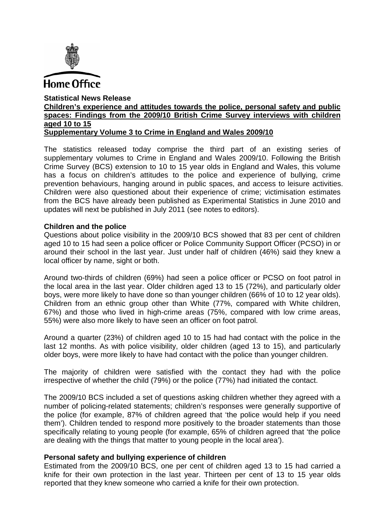

#### **Statistical News Release Children's experience and attitudes towards the police, personal safety and public spaces: Findings from the 2009/10 British Crime Survey interviews with children aged 10 to 15 Supplementary Volume 3 to Crime in England and Wales 2009/10**

The statistics released today comprise the third part of an existing series of supplementary volumes to Crime in England and Wales 2009/10. Following the British Crime Survey (BCS) extension to 10 to 15 year olds in England and Wales, this volume has a focus on children's attitudes to the police and experience of bullying, crime prevention behaviours, hanging around in public spaces, and access to leisure activities. Children were also questioned about their experience of crime; victimisation estimates from the BCS have already been published as Experimental Statistics in June 2010 and updates will next be published in July 2011 (see notes to editors).

# **Children and the police**

Questions about police visibility in the 2009/10 BCS showed that 83 per cent of children aged 10 to 15 had seen a police officer or Police Community Support Officer (PCSO) in or around their school in the last year. Just under half of children (46%) said they knew a local officer by name, sight or both.

Around two-thirds of children (69%) had seen a police officer or PCSO on foot patrol in the local area in the last year. Older children aged 13 to 15 (72%), and particularly older boys, were more likely to have done so than younger children (66% of 10 to 12 year olds). Children from an ethnic group other than White (77%, compared with White children, 67%) and those who lived in high-crime areas (75%, compared with low crime areas, 55%) were also more likely to have seen an officer on foot patrol.

Around a quarter (23%) of children aged 10 to 15 had had contact with the police in the last 12 months. As with police visibility, older children (aged 13 to 15), and particularly older boys, were more likely to have had contact with the police than younger children.

The majority of children were satisfied with the contact they had with the police irrespective of whether the child (79%) or the police (77%) had initiated the contact.

The 2009/10 BCS included a set of questions asking children whether they agreed with a number of policing-related statements; children's responses were generally supportive of the police (for example, 87% of children agreed that 'the police would help if you need them'). Children tended to respond more positively to the broader statements than those specifically relating to young people (for example, 65% of children agreed that 'the police are dealing with the things that matter to young people in the local area').

# **Personal safety and bullying experience of children**

Estimated from the 2009/10 BCS, one per cent of children aged 13 to 15 had carried a knife for their own protection in the last year. Thirteen per cent of 13 to 15 year olds reported that they knew someone who carried a knife for their own protection.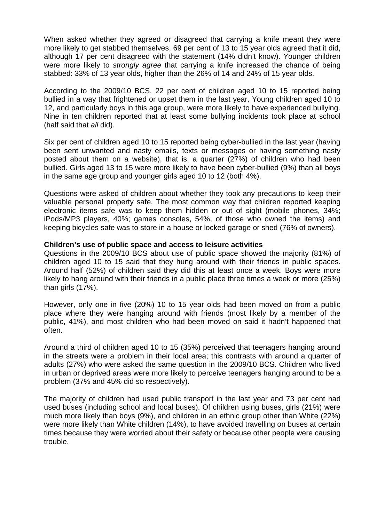When asked whether they agreed or disagreed that carrying a knife meant they were more likely to get stabbed themselves, 69 per cent of 13 to 15 year olds agreed that it did, although 17 per cent disagreed with the statement (14% didn't know). Younger children were more likely to *strongly agree* that carrying a knife increased the chance of being stabbed: 33% of 13 year olds, higher than the 26% of 14 and 24% of 15 year olds.

According to the 2009/10 BCS, 22 per cent of children aged 10 to 15 reported being bullied in a way that frightened or upset them in the last year. Young children aged 10 to 12, and particularly boys in this age group, were more likely to have experienced bullying. Nine in ten children reported that at least some bullying incidents took place at school (half said that *all* did).

Six per cent of children aged 10 to 15 reported being cyber-bullied in the last year (having been sent unwanted and nasty emails, texts or messages or having something nasty posted about them on a website), that is, a quarter (27%) of children who had been bullied. Girls aged 13 to 15 were more likely to have been cyber-bullied (9%) than all boys in the same age group and younger girls aged 10 to 12 (both 4%).

Questions were asked of children about whether they took any precautions to keep their valuable personal property safe. The most common way that children reported keeping electronic items safe was to keep them hidden or out of sight (mobile phones, 34%; iPods/MP3 players, 40%; games consoles, 54%, of those who owned the items) and keeping bicycles safe was to store in a house or locked garage or shed (76% of owners).

#### **Children's use of public space and access to leisure activities**

Questions in the 2009/10 BCS about use of public space showed the majority (81%) of children aged 10 to 15 said that they hung around with their friends in public spaces. Around half (52%) of children said they did this at least once a week. Boys were more likely to hang around with their friends in a public place three times a week or more (25%) than girls (17%).

However, only one in five (20%) 10 to 15 year olds had been moved on from a public place where they were hanging around with friends (most likely by a member of the public, 41%), and most children who had been moved on said it hadn't happened that often.

Around a third of children aged 10 to 15 (35%) perceived that teenagers hanging around in the streets were a problem in their local area; this contrasts with around a quarter of adults (27%) who were asked the same question in the 2009/10 BCS. Children who lived in urban or deprived areas were more likely to perceive teenagers hanging around to be a problem (37% and 45% did so respectively).

The majority of children had used public transport in the last year and 73 per cent had used buses (including school and local buses). Of children using buses, girls (21%) were much more likely than boys (9%), and children in an ethnic group other than White (22%) were more likely than White children (14%), to have avoided travelling on buses at certain times because they were worried about their safety or because other people were causing trouble.